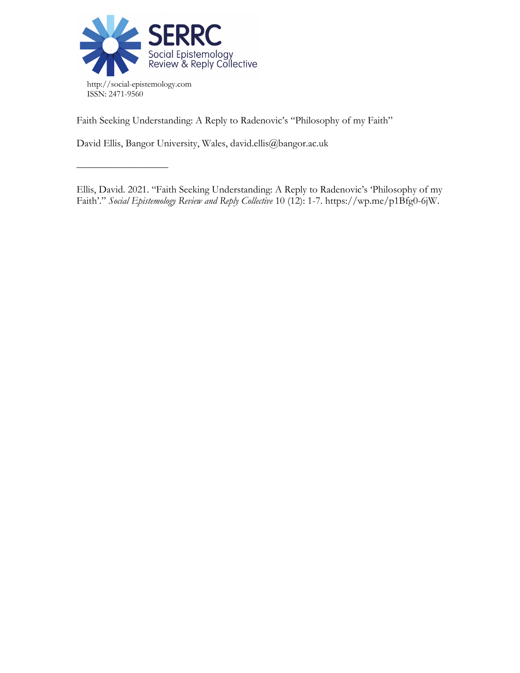

––––––––––––––––––

Faith Seeking Understanding: A Reply to Radenovic's "Philosophy of my Faith"

David Ellis, Bangor University, Wales, david.ellis@bangor.ac.uk

Ellis, David. 2021. "Faith Seeking Understanding: A Reply to Radenovic's 'Philosophy of my Faith'." *Social Epistemology Review and Reply Collective* 10 (12): 1-7. https://wp.me/p1Bfg0-6jW.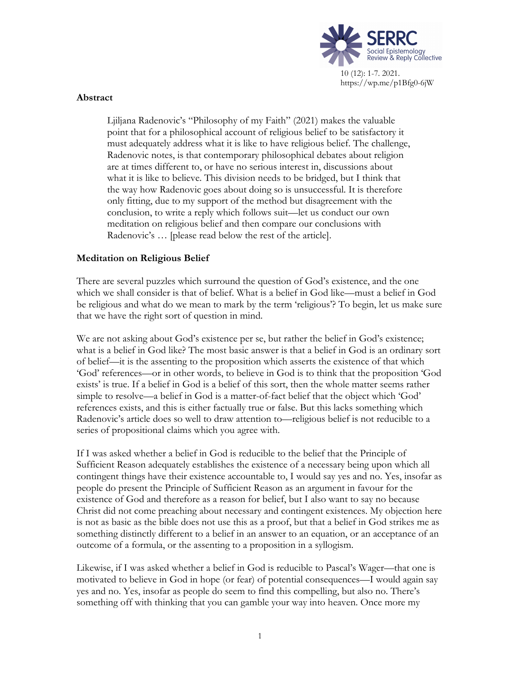

#### **Abstract**

Ljiljana Radenovic's "Philosophy of my Faith" (2021) makes the valuable point that for a philosophical account of religious belief to be satisfactory it must adequately address what it is like to have religious belief. The challenge, Radenovic notes, is that contemporary philosophical debates about religion are at times different to, or have no serious interest in, discussions about what it is like to believe. This division needs to be bridged, but I think that the way how Radenovic goes about doing so is unsuccessful. It is therefore only fitting, due to my support of the method but disagreement with the conclusion, to write a reply which follows suit—let us conduct our own meditation on religious belief and then compare our conclusions with Radenovic's … [please read below the rest of the article].

## **Meditation on Religious Belief**

There are several puzzles which surround the question of God's existence, and the one which we shall consider is that of belief. What is a belief in God like—must a belief in God be religious and what do we mean to mark by the term 'religious'? To begin, let us make sure that we have the right sort of question in mind.

We are not asking about God's existence per se, but rather the belief in God's existence; what is a belief in God like? The most basic answer is that a belief in God is an ordinary sort of belief—it is the assenting to the proposition which asserts the existence of that which 'God' references—or in other words, to believe in God is to think that the proposition 'God exists' is true. If a belief in God is a belief of this sort, then the whole matter seems rather simple to resolve—a belief in God is a matter-of-fact belief that the object which 'God' references exists, and this is either factually true or false. But this lacks something which Radenovic's article does so well to draw attention to—religious belief is not reducible to a series of propositional claims which you agree with.

If I was asked whether a belief in God is reducible to the belief that the Principle of Sufficient Reason adequately establishes the existence of a necessary being upon which all contingent things have their existence accountable to, I would say yes and no. Yes, insofar as people do present the Principle of Sufficient Reason as an argument in favour for the existence of God and therefore as a reason for belief, but I also want to say no because Christ did not come preaching about necessary and contingent existences. My objection here is not as basic as the bible does not use this as a proof, but that a belief in God strikes me as something distinctly different to a belief in an answer to an equation, or an acceptance of an outcome of a formula, or the assenting to a proposition in a syllogism.

Likewise, if I was asked whether a belief in God is reducible to Pascal's Wager—that one is motivated to believe in God in hope (or fear) of potential consequences—I would again say yes and no. Yes, insofar as people do seem to find this compelling, but also no. There's something off with thinking that you can gamble your way into heaven. Once more my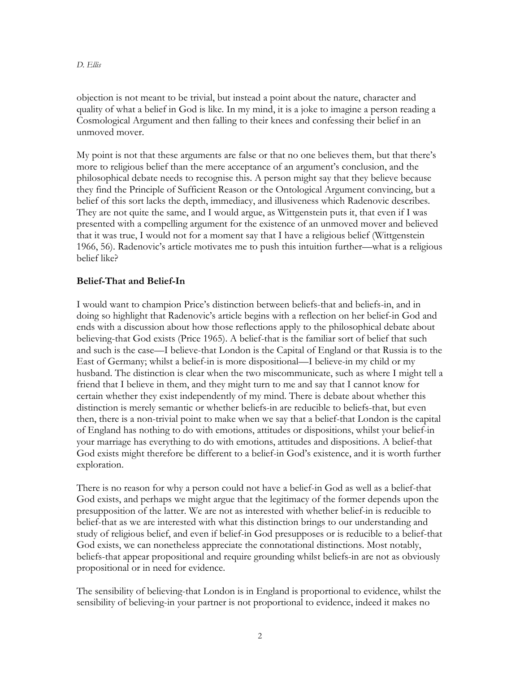*D. Ellis*

objection is not meant to be trivial, but instead a point about the nature, character and quality of what a belief in God is like. In my mind, it is a joke to imagine a person reading a Cosmological Argument and then falling to their knees and confessing their belief in an unmoved mover.

My point is not that these arguments are false or that no one believes them, but that there's more to religious belief than the mere acceptance of an argument's conclusion, and the philosophical debate needs to recognise this. A person might say that they believe because they find the Principle of Sufficient Reason or the Ontological Argument convincing, but a belief of this sort lacks the depth, immediacy, and illusiveness which Radenovic describes. They are not quite the same, and I would argue, as Wittgenstein puts it, that even if I was presented with a compelling argument for the existence of an unmoved mover and believed that it was true, I would not for a moment say that I have a religious belief (Wittgenstein 1966, 56). Radenovic's article motivates me to push this intuition further—what is a religious belief like?

# **Belief-That and Belief-In**

I would want to champion Price's distinction between beliefs-that and beliefs-in, and in doing so highlight that Radenovic's article begins with a reflection on her belief-in God and ends with a discussion about how those reflections apply to the philosophical debate about believing-that God exists (Price 1965). A belief-that is the familiar sort of belief that such and such is the case—I believe-that London is the Capital of England or that Russia is to the East of Germany; whilst a belief-in is more dispositional—I believe-in my child or my husband. The distinction is clear when the two miscommunicate, such as where I might tell a friend that I believe in them, and they might turn to me and say that I cannot know for certain whether they exist independently of my mind. There is debate about whether this distinction is merely semantic or whether beliefs-in are reducible to beliefs-that, but even then, there is a non-trivial point to make when we say that a belief-that London is the capital of England has nothing to do with emotions, attitudes or dispositions, whilst your belief-in your marriage has everything to do with emotions, attitudes and dispositions. A belief-that God exists might therefore be different to a belief-in God's existence, and it is worth further exploration.

There is no reason for why a person could not have a belief-in God as well as a belief-that God exists, and perhaps we might argue that the legitimacy of the former depends upon the presupposition of the latter. We are not as interested with whether belief-in is reducible to belief-that as we are interested with what this distinction brings to our understanding and study of religious belief, and even if belief-in God presupposes or is reducible to a belief-that God exists, we can nonetheless appreciate the connotational distinctions. Most notably, beliefs-that appear propositional and require grounding whilst beliefs-in are not as obviously propositional or in need for evidence.

The sensibility of believing-that London is in England is proportional to evidence, whilst the sensibility of believing-in your partner is not proportional to evidence, indeed it makes no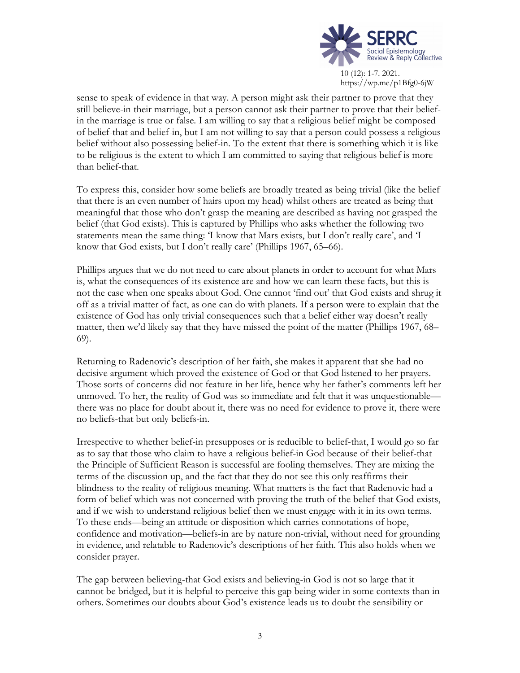

sense to speak of evidence in that way. A person might ask their partner to prove that they still believe-in their marriage, but a person cannot ask their partner to prove that their beliefin the marriage is true or false. I am willing to say that a religious belief might be composed of belief-that and belief-in, but I am not willing to say that a person could possess a religious belief without also possessing belief-in. To the extent that there is something which it is like to be religious is the extent to which I am committed to saying that religious belief is more than belief-that.

To express this, consider how some beliefs are broadly treated as being trivial (like the belief that there is an even number of hairs upon my head) whilst others are treated as being that meaningful that those who don't grasp the meaning are described as having not grasped the belief (that God exists). This is captured by Phillips who asks whether the following two statements mean the same thing: 'I know that Mars exists, but I don't really care', and 'I know that God exists, but I don't really care' (Phillips 1967, 65–66).

Phillips argues that we do not need to care about planets in order to account for what Mars is, what the consequences of its existence are and how we can learn these facts, but this is not the case when one speaks about God. One cannot 'find out' that God exists and shrug it off as a trivial matter of fact, as one can do with planets. If a person were to explain that the existence of God has only trivial consequences such that a belief either way doesn't really matter, then we'd likely say that they have missed the point of the matter (Phillips 1967, 68– 69).

Returning to Radenovic's description of her faith, she makes it apparent that she had no decisive argument which proved the existence of God or that God listened to her prayers. Those sorts of concerns did not feature in her life, hence why her father's comments left her unmoved. To her, the reality of God was so immediate and felt that it was unquestionable there was no place for doubt about it, there was no need for evidence to prove it, there were no beliefs-that but only beliefs-in.

Irrespective to whether belief-in presupposes or is reducible to belief-that, I would go so far as to say that those who claim to have a religious belief-in God because of their belief-that the Principle of Sufficient Reason is successful are fooling themselves. They are mixing the terms of the discussion up, and the fact that they do not see this only reaffirms their blindness to the reality of religious meaning. What matters is the fact that Radenovic had a form of belief which was not concerned with proving the truth of the belief-that God exists, and if we wish to understand religious belief then we must engage with it in its own terms. To these ends—being an attitude or disposition which carries connotations of hope, confidence and motivation—beliefs-in are by nature non-trivial, without need for grounding in evidence, and relatable to Radenovic's descriptions of her faith. This also holds when we consider prayer.

The gap between believing-that God exists and believing-in God is not so large that it cannot be bridged, but it is helpful to perceive this gap being wider in some contexts than in others. Sometimes our doubts about God's existence leads us to doubt the sensibility or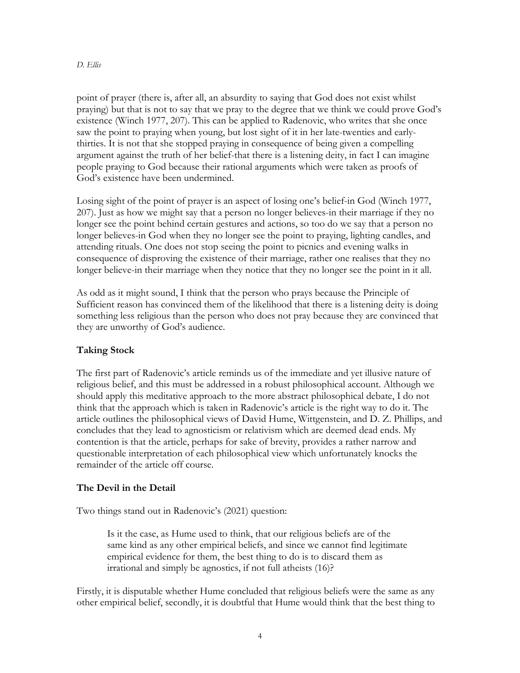#### *D. Ellis*

point of prayer (there is, after all, an absurdity to saying that God does not exist whilst praying) but that is not to say that we pray to the degree that we think we could prove God's existence (Winch 1977, 207). This can be applied to Radenovic, who writes that she once saw the point to praying when young, but lost sight of it in her late-twenties and earlythirties. It is not that she stopped praying in consequence of being given a compelling argument against the truth of her belief-that there is a listening deity, in fact I can imagine people praying to God because their rational arguments which were taken as proofs of God's existence have been undermined.

Losing sight of the point of prayer is an aspect of losing one's belief-in God (Winch 1977, 207). Just as how we might say that a person no longer believes-in their marriage if they no longer see the point behind certain gestures and actions, so too do we say that a person no longer believes-in God when they no longer see the point to praying, lighting candles, and attending rituals. One does not stop seeing the point to picnics and evening walks in consequence of disproving the existence of their marriage, rather one realises that they no longer believe-in their marriage when they notice that they no longer see the point in it all.

As odd as it might sound, I think that the person who prays because the Principle of Sufficient reason has convinced them of the likelihood that there is a listening deity is doing something less religious than the person who does not pray because they are convinced that they are unworthy of God's audience.

## **Taking Stock**

The first part of Radenovic's article reminds us of the immediate and yet illusive nature of religious belief, and this must be addressed in a robust philosophical account. Although we should apply this meditative approach to the more abstract philosophical debate, I do not think that the approach which is taken in Radenovic's article is the right way to do it. The article outlines the philosophical views of David Hume, Wittgenstein, and D. Z. Phillips, and concludes that they lead to agnosticism or relativism which are deemed dead ends. My contention is that the article, perhaps for sake of brevity, provides a rather narrow and questionable interpretation of each philosophical view which unfortunately knocks the remainder of the article off course.

## **The Devil in the Detail**

Two things stand out in Radenovic's (2021) question:

Is it the case, as Hume used to think, that our religious beliefs are of the same kind as any other empirical beliefs, and since we cannot find legitimate empirical evidence for them, the best thing to do is to discard them as irrational and simply be agnostics, if not full atheists (16)?

Firstly, it is disputable whether Hume concluded that religious beliefs were the same as any other empirical belief, secondly, it is doubtful that Hume would think that the best thing to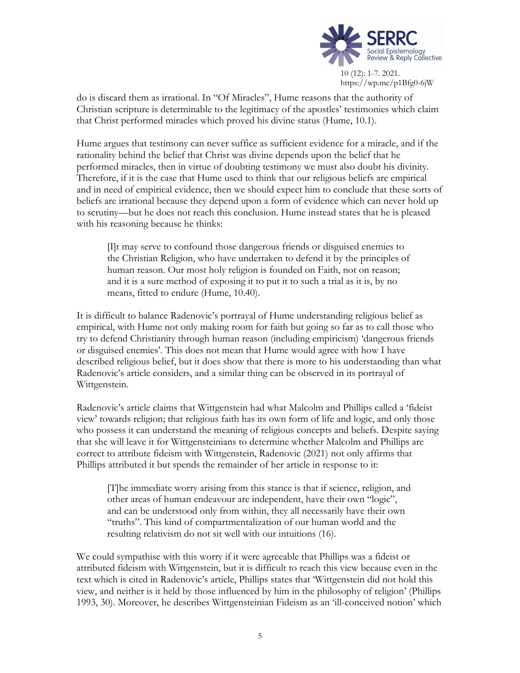

do is discard them as irrational. In "Of Miracles", Hume reasons that the authority of Christian scripture is determinable to the legitimacy of the apostles' testimonies which claim that Christ performed miracles which proved his divine status (Hume, 10.1).

Hume argues that testimony can never suffice as sufficient evidence for a miracle, and if the rationality behind the belief that Christ was divine depends upon the belief that he performed miracles, then in virtue of doubting testimony we must also doubt his divinity. Therefore, if it is the case that Hume used to think that our religious beliefs are empirical and in need of empirical evidence, then we should expect him to conclude that these sorts of beliefs are irrational because they depend upon a form of evidence which can never hold up to scrutiny—but he does not reach this conclusion. Hume instead states that he is pleased with his reasoning because he thinks:

[I]t may serve to confound those dangerous friends or disguised enemies to the Christian Religion, who have undertaken to defend it by the principles of human reason. Our most holy religion is founded on Faith, not on reason; and it is a sure method of exposing it to put it to such a trial as it is, by no means, fitted to endure (Hume, 10.40).

It is difficult to balance Radenovic's portrayal of Hume understanding religious belief as empirical, with Hume not only making room for faith but going so far as to call those who try to defend Christianity through human reason (including empiricism) 'dangerous friends or disguised enemies'. This does not mean that Hume would agree with how I have described religious belief, but it does show that there is more to his understanding than what Radenovic's article considers, and a similar thing can be observed in its portrayal of Wittgenstein.

Radenovic's article claims that Wittgenstein had what Malcolm and Phillips called a 'fideist view' towards religion; that religious faith has its own form of life and logic, and only those who possess it can understand the meaning of religious concepts and beliefs. Despite saying that she will leave it for Wittgensteinians to determine whether Malcolm and Phillips are correct to attribute fideism with Wittgenstein, Radenovic (2021) not only affirms that Phillips attributed it but spends the remainder of her article in response to it:

[T]he immediate worry arising from this stance is that if science, religion, and other areas of human endeavour are independent, have their own "logic", and can be understood only from within, they all necessarily have their own "truths". This kind of compartmentalization of our human world and the resulting relativism do not sit well with our intuitions (16).

We could sympathise with this worry if it were agreeable that Phillips was a fideist or attributed fideism with Wittgenstein, but it is difficult to reach this view because even in the text which is cited in Radenovic's article, Phillips states that 'Wittgenstein did not hold this view, and neither is it held by those influenced by him in the philosophy of religion' (Phillips 1993, 30). Moreover, he describes Wittgensteinian Fideism as an 'ill-conceived notion' which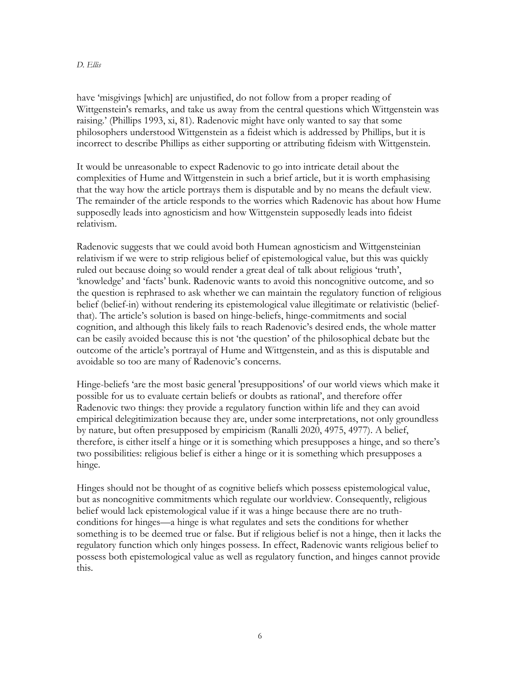#### *D. Ellis*

have 'misgivings [which] are unjustified, do not follow from a proper reading of Wittgenstein's remarks, and take us away from the central questions which Wittgenstein was raising.' (Phillips 1993, xi, 81). Radenovic might have only wanted to say that some philosophers understood Wittgenstein as a fideist which is addressed by Phillips, but it is incorrect to describe Phillips as either supporting or attributing fideism with Wittgenstein.

It would be unreasonable to expect Radenovic to go into intricate detail about the complexities of Hume and Wittgenstein in such a brief article, but it is worth emphasising that the way how the article portrays them is disputable and by no means the default view. The remainder of the article responds to the worries which Radenovic has about how Hume supposedly leads into agnosticism and how Wittgenstein supposedly leads into fideist relativism.

Radenovic suggests that we could avoid both Humean agnosticism and Wittgensteinian relativism if we were to strip religious belief of epistemological value, but this was quickly ruled out because doing so would render a great deal of talk about religious 'truth', 'knowledge' and 'facts' bunk. Radenovic wants to avoid this noncognitive outcome, and so the question is rephrased to ask whether we can maintain the regulatory function of religious belief (belief-in) without rendering its epistemological value illegitimate or relativistic (beliefthat). The article's solution is based on hinge-beliefs, hinge-commitments and social cognition, and although this likely fails to reach Radenovic's desired ends, the whole matter can be easily avoided because this is not 'the question' of the philosophical debate but the outcome of the article's portrayal of Hume and Wittgenstein, and as this is disputable and avoidable so too are many of Radenovic's concerns.

Hinge-beliefs 'are the most basic general 'presuppositions' of our world views which make it possible for us to evaluate certain beliefs or doubts as rational', and therefore offer Radenovic two things: they provide a regulatory function within life and they can avoid empirical delegitimization because they are, under some interpretations, not only groundless by nature, but often presupposed by empiricism (Ranalli 2020, 4975, 4977). A belief, therefore, is either itself a hinge or it is something which presupposes a hinge, and so there's two possibilities: religious belief is either a hinge or it is something which presupposes a hinge.

Hinges should not be thought of as cognitive beliefs which possess epistemological value, but as noncognitive commitments which regulate our worldview. Consequently, religious belief would lack epistemological value if it was a hinge because there are no truthconditions for hinges—a hinge is what regulates and sets the conditions for whether something is to be deemed true or false. But if religious belief is not a hinge, then it lacks the regulatory function which only hinges possess. In effect, Radenovic wants religious belief to possess both epistemological value as well as regulatory function, and hinges cannot provide this.